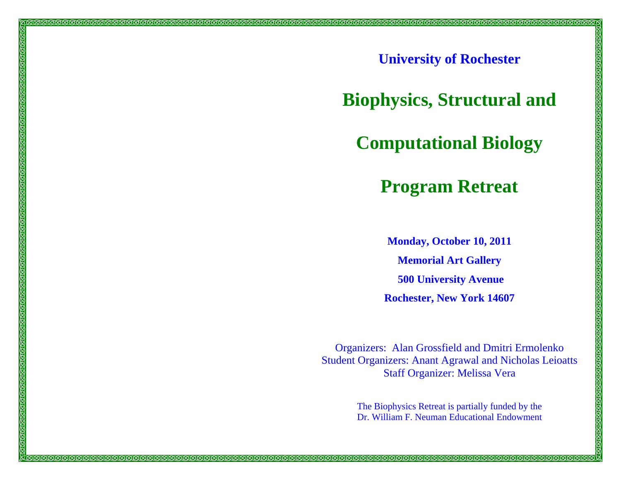**University of Rochester** 

තිත්තය

**Biophysics, Structural and** 

**Computational Biology** 

**Program Retreat**

**Monday, October 10, 2011 Memorial Art Gallery 500 University Avenue Rochester, New York 14607** 

Organizers: Alan Grossfield and Dmitri Ermolenko Student Organizers: Anant Agrawal and Nicholas Leioatts Staff Organizer: Melissa Vera

> The Biophysics Retreat is partially funded by the Dr. William F. Neuman Educational Endowment